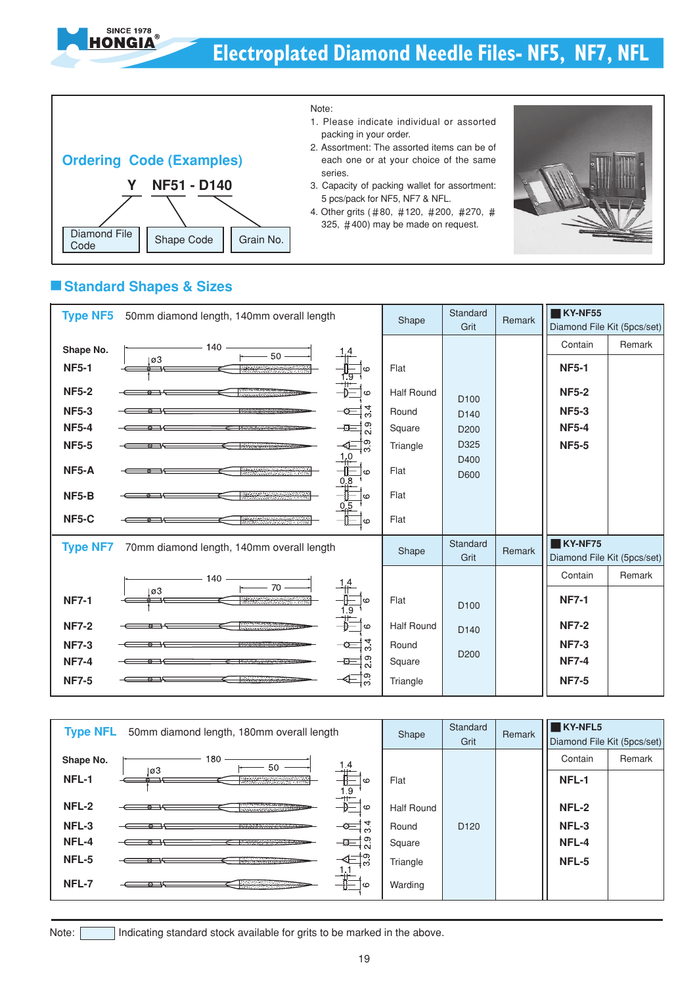

## **Electroplated Diamond Needle Files- NF5, NF7, NFL**



## **Standard Shapes & Sizes**

|                 | Type NF5 50mm diamond length, 140mm overall length                                                                                                                                                                                                                                                                                                                                                                                                                                                                       |                                                  | Shape             | Standard<br>Grit | Remark        | $KY-NF55$<br>Diamond File Kit (5pcs/set)              |        |
|-----------------|--------------------------------------------------------------------------------------------------------------------------------------------------------------------------------------------------------------------------------------------------------------------------------------------------------------------------------------------------------------------------------------------------------------------------------------------------------------------------------------------------------------------------|--------------------------------------------------|-------------------|------------------|---------------|-------------------------------------------------------|--------|
| Shape No.       | $\overline{\phantom{a}}$ 140 $\overline{\phantom{a}}$<br>$+$ 50                                                                                                                                                                                                                                                                                                                                                                                                                                                          |                                                  |                   |                  |               | Contain                                               | Remark |
| <b>NF5-1</b>    | ∣ø3<br>$\overline{\bullet}$ $\overline{\bullet}$<br>$\begin{array}{l} \textbf{1} & \textbf{1} & \textbf{1} & \textbf{1} & \textbf{1} \\ \textbf{1} & \textbf{1} & \textbf{1} & \textbf{1} & \textbf{1} \\ \textbf{1} & \textbf{1} & \textbf{1} & \textbf{1} & \textbf{1} \\ \textbf{1} & \textbf{1} & \textbf{1} & \textbf{1} & \textbf{1} \\ \textbf{1} & \textbf{1} & \textbf{1} & \textbf{1} & \textbf{1} \\ \textbf{1} & \textbf{1} & \textbf{1} & \textbf{1} & \textbf{1} \\ \textbf$                               | $\frac{14}{15}$<br>0) ا                          | Flat              |                  |               | <b>NF5-1</b>                                          |        |
| <b>NF5-2</b>    | $  \circ$ $\circ$ $\circ$                                                                                                                                                                                                                                                                                                                                                                                                                                                                                                | $\overline{\Uparrow}$<br>ہ آ                     | <b>Half Round</b> | D <sub>100</sub> |               | <b>NF5-2</b>                                          |        |
| <b>NF5-3</b>    | $\overline{\bullet}$                                                                                                                                                                                                                                                                                                                                                                                                                                                                                                     | $\overline{\mathbb{Z}}\hspace{-2pt}\mathbb{Z}_4$ | Round             | D <sub>140</sub> |               | <b>NF5-3</b>                                          |        |
| <b>NF5-4</b>    |                                                                                                                                                                                                                                                                                                                                                                                                                                                                                                                          | ⊣⊞ു                                              | Square            | D200             |               | <b>NF5-4</b>                                          |        |
| <b>NF5-5</b>    | <b>BACK SUBSTRIES IN</b>                                                                                                                                                                                                                                                                                                                                                                                                                                                                                                 | ္ေ                                               | Triangle          | D325             |               | <b>NF5-5</b>                                          |        |
| NF5-A           | <b>The Community of the Community</b><br>$\overline{\phantom{a}}$ $\overline{\phantom{a}}$ $\overline{\phantom{a}}$ $\overline{\phantom{a}}$ $\overline{\phantom{a}}$ $\overline{\phantom{a}}$ $\overline{\phantom{a}}$ $\overline{\phantom{a}}$ $\overline{\phantom{a}}$ $\overline{\phantom{a}}$ $\overline{\phantom{a}}$ $\overline{\phantom{a}}$ $\overline{\phantom{a}}$ $\overline{\phantom{a}}$ $\overline{\phantom{a}}$ $\overline{\phantom{a}}$ $\overline{\phantom{a}}$ $\overline{\phantom{a}}$ $\overline{\$ | His His His A<br>$  \circ$                       | Flat              | D400<br>D600     |               |                                                       |        |
| NF5-B           | $\begin{array}{l} \text{Supp}(\mathcal{A},\mathcal{B})=\mathcal{A}=\mathcal{A}=\mathcal{A}=\mathcal{A}=\mathcal{A}=\mathcal{A}=\mathcal{A}=\mathcal{A}=\mathcal{A}=\mathcal{A}=\mathcal{A}=\mathcal{A}=\mathcal{A}=\mathcal{A}=\mathcal{A}=\mathcal{A}=\mathcal{A}=\mathcal{A}=\mathcal{A}=\mathcal{A}=\mathcal{A}=\mathcal{A}=\mathcal{A}=\mathcal{A}=\mathcal{A}=\mathcal{A}=\mathcal{A}=\mathcal{A}=\mathcal{A}=\mathcal{A}=\mathcal{A}=\mathcal{A}=\mathcal$                                                         | ဖ                                                | Flat              |                  |               |                                                       |        |
| NF5-C           | $\overline{\bullet}$ $\overline{\bullet}$ $\overline{\bullet}$                                                                                                                                                                                                                                                                                                                                                                                                                                                           | ا ت                                              | Flat              |                  |               |                                                       |        |
| <b>Type NF7</b> | 70mm diamond length, 140mm overall length                                                                                                                                                                                                                                                                                                                                                                                                                                                                                |                                                  | Shape             | Standard<br>Grit | <b>Remark</b> | $\blacksquare$ KY-NF75<br>Diamond File Kit (5pcs/set) |        |
|                 |                                                                                                                                                                                                                                                                                                                                                                                                                                                                                                                          |                                                  |                   |                  |               | Contain                                               | Remark |
| <b>NF7-1</b>    | 03                                                                                                                                                                                                                                                                                                                                                                                                                                                                                                                       | $\frac{1}{1}$<br>$\frac{4}{1}$<br> అ             | Flat              | D <sub>100</sub> |               | <b>NF7-1</b>                                          |        |
| <b>NF7-2</b>    | <b>1000 B</b>                                                                                                                                                                                                                                                                                                                                                                                                                                                                                                            | $\circ$                                          | <b>Half Round</b> | D <sub>140</sub> |               | <b>NF7-2</b>                                          |        |
| <b>NF7-3</b>    | $\overline{\bullet}$                                                                                                                                                                                                                                                                                                                                                                                                                                                                                                     | $-\infty$ ു                                      | Round             |                  |               | <b>NF7-3</b>                                          |        |
| <b>NF7-4</b>    |                                                                                                                                                                                                                                                                                                                                                                                                                                                                                                                          | ≖≡¦ನಿ                                            | Square            | D <sub>200</sub> |               | <b>NF7-4</b>                                          |        |
| <b>NF7-5</b>    | $\overline{\phantom{a}}$ and $\overline{\phantom{a}}$ and $\overline{\phantom{a}}$                                                                                                                                                                                                                                                                                                                                                                                                                                       | ∉⊟ീ                                              | Triangle          |                  |               | <b>NF7-5</b>                                          |        |



Note: Indicating standard stock available for grits to be marked in the above.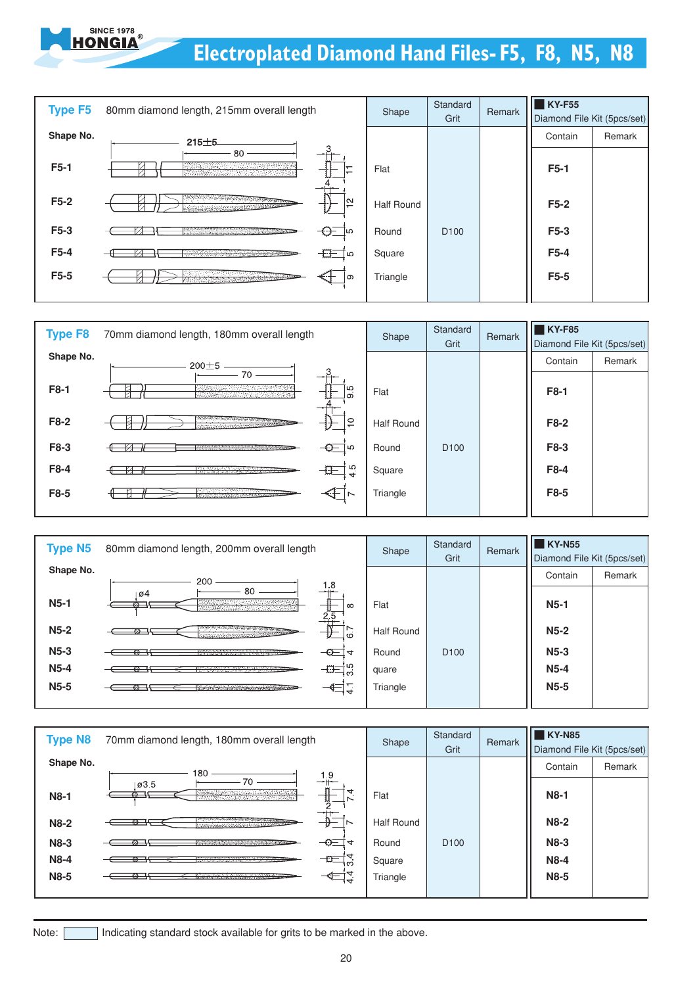

## **Electroplated Diamond Hand Files- F5, F8, N5, N8**

| <b>Type F5</b> | 80mm diamond length, 215mm overall length                                                                                                                                                                                                             | Shape      | Standard<br>Grit | Remark | $KY-F55$<br>Diamond File Kit (5pcs/set) |        |
|----------------|-------------------------------------------------------------------------------------------------------------------------------------------------------------------------------------------------------------------------------------------------------|------------|------------------|--------|-----------------------------------------|--------|
| Shape No.      | $215 + 5$<br>80                                                                                                                                                                                                                                       |            |                  |        | Contain                                 | Remark |
| $F5-1$         | <u>regulacione (1988</u> )<br>2945<br><u> 1998-3820-000</u><br>$\overline{\phantom{0}}$                                                                                                                                                               | Flat       |                  |        | $F5-1$                                  |        |
| $F5-2$         | $\frac{1}{2}$<br><u> Connection and Connection and Connection and Connection and Connection and Connection and Connection and Connection and Connection and Connection and Connection and Connection and Connection and Connection and Connection</u> | Half Round |                  |        | $F5-2$                                  |        |
| F5-3           | ∣ഥ<br>⊬<br>a de la sina de la destacación de la construcción de la construcción de la construcción de la construcción de                                                                                                                              | Round      | D <sub>100</sub> |        | $F5-3$                                  |        |
| F5-4           | e de la componencia de la componencia de la componencia de la componencia de la componencia de la componencia<br>La componencia del componencia del componencia del componencia del componencia del componencia del componencia<br>⊺ທ<br>+⊥           | Square     |                  |        | $F5-4$                                  |        |
| F5-5           | <u>The Company of the Company of the Company of the Company of the Company of the Company of the Company of the Co</u><br>  တ                                                                                                                         | Triangle   |                  |        | $F5-5$                                  |        |

| <b>Type F8</b> | 70mm diamond length, 180mm overall length                                                                                                                                                                                               | Shape             | Standard<br>Grit | Remark | $KY-F85$<br>Diamond File Kit (5pcs/set) |        |
|----------------|-----------------------------------------------------------------------------------------------------------------------------------------------------------------------------------------------------------------------------------------|-------------------|------------------|--------|-----------------------------------------|--------|
| Shape No.      | $200 + 5$                                                                                                                                                                                                                               |                   |                  |        | Contain                                 | Remark |
| F8-1           | 9.5<br>at presentation and control                                                                                                                                                                                                      | Flat              |                  |        | F8-1                                    |        |
| F8-2           | ₽<br><u>. 1994. Android Maria Android Android Android</u>                                                                                                                                                                               | <b>Half Round</b> |                  |        | F8-2                                    |        |
| F8-3           | ျပာ<br><b>Excel Section and American Section Advisory Committee Committee</b><br>↫                                                                                                                                                      | Round             | D <sub>100</sub> |        | F8-3                                    |        |
| F8-4           | 4.5<br>a de la propiedad de la companya de la propiedad de la companya de la companya de la companya de la companya d<br>La propiedad de la companya de la companya de la companya de la companya de la companya de la companya de la c | Square            |                  |        | F8-4                                    |        |
| F8-5           | ⊢                                                                                                                                                                                                                                       | Triangle          |                  |        | F8-5                                    |        |
|                |                                                                                                                                                                                                                                         |                   |                  |        |                                         |        |

| <b>Type N5</b> | 80mm diamond length, 200mm overall length                                                                                                                                                                                                                                    | Shape             | Standard<br>Grit | Remark | $KY-NS5$<br>Diamond File Kit (5pcs/set) |        |
|----------------|------------------------------------------------------------------------------------------------------------------------------------------------------------------------------------------------------------------------------------------------------------------------------|-------------------|------------------|--------|-----------------------------------------|--------|
| Shape No.      | 200<br>1.8                                                                                                                                                                                                                                                                   |                   |                  |        | Contain                                 | Remark |
| $N5-1$         | 80<br>04 ا<br>∞<br>$\infty$<br>2.5                                                                                                                                                                                                                                           | Flat              |                  |        | $N5-1$                                  |        |
| $N5-2$         | ¦ ∂<br><u>regeneració del color montalego les</u>                                                                                                                                                                                                                            | <b>Half Round</b> |                  |        | $N5-2$                                  |        |
| $N5-3$         | $\overline{4}$<br>والمنابية والمتقاد بموالي والمتوسطة ماليونات المستمدات والإنتار بالمتركبين والمتوافق والمتابع والمراجان والمراكبة<br>$\overline{\sigma}$<br>i de la seconda de la contrada de la seconda de la contrada de la contrada de la contrada de la contrada de la | Round             | D <sub>100</sub> |        | $N5-3$                                  |        |
| $N5-4$         | $-\Xi\Xi_{\infty}^{10}$<br>and the control of the control of the control of the control of the control of the control of the control of the                                                                                                                                  | quare             |                  |        | $N5-4$                                  |        |
| $N5-5$         | ⊸∉⊟ ~<br>the control of the control of the control of the control of the control of the control of the control of the c<br>The control of the control of the control of the control of the control of the control of the control of the c                                    | Triangle          |                  |        | $N5-5$                                  |        |
|                |                                                                                                                                                                                                                                                                              |                   |                  |        |                                         |        |

| <b>Type N8</b> | 70mm diamond length, 180mm overall length                                                                                                                                                                                                                      | Shape             | Standard<br>Grit | Remark | $KY-NS5$<br>Diamond File Kit (5pcs/set) |        |
|----------------|----------------------------------------------------------------------------------------------------------------------------------------------------------------------------------------------------------------------------------------------------------------|-------------------|------------------|--------|-----------------------------------------|--------|
| Shape No.      | 180<br>1.9                                                                                                                                                                                                                                                     |                   |                  |        | Contain                                 | Remark |
| $N8-1$         | $\rightarrow$ $\rightarrow$<br>03.5<br>$\overline{7}$<br>∞                                                                                                                                                                                                     | Flat              |                  |        | $N8-1$                                  |        |
| $N8-2$         | ∞<br><u> Silan Contra Cadalah Publis Andrew Mor</u>                                                                                                                                                                                                            | <b>Half Round</b> |                  |        | $N8-2$                                  |        |
| $N8-3$         | ⊸⊙⊟<br>$\overline{4}$<br>i katika da ya katika mwaka wa kusini wa kusini wa kusini wa 1992 mwaka wa 1992 aliani wa 1992 waishio wa 1992<br>Matukio wa kusini wa kusini wa 1992 wa 1992 wa 1992 wa 1992 wa 1992 wa 1992 wa 1992 wa 1992 wa 1992 wa 1992 wa<br>∞ | Round             | D <sub>100</sub> |        | $N8-3$                                  |        |
| $N8-4$         | $-\equiv \frac{1}{4}$<br>an dia any kaominina mpikambana amin'ny fivondronan-kaominin'i Nord-Amerika.<br>Ny INSEE dia mampiasa ny kaodim-paositra 62113. Ilay ny faritr'i Nord-Amerika no ben'ny tanàna mandritry ny ta                                        | Square            |                  |        | $N8-4$                                  |        |
| <b>N8-5</b>    | $\overline{\mathbb{Z}}_{4}^{4}$<br>which contains a construction of the contact of the con-<br>∞                                                                                                                                                               | Triangle          |                  |        | <b>N8-5</b>                             |        |
|                |                                                                                                                                                                                                                                                                |                   |                  |        |                                         |        |

Note: Indicating standard stock available for grits to be marked in the above.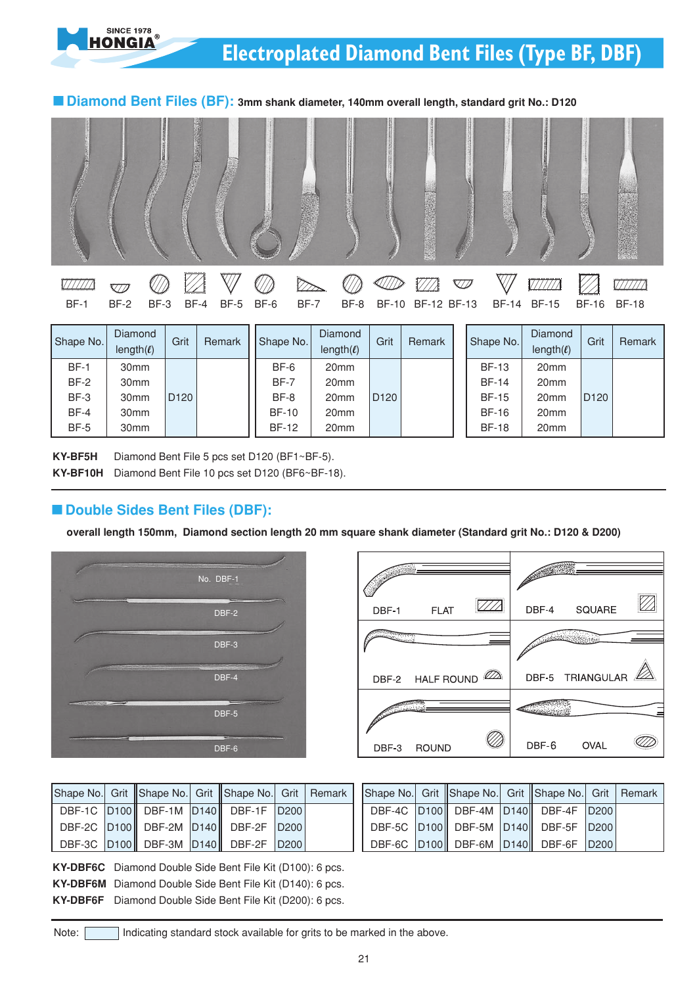**Electroplated Diamond Bent Files (Type BF, DBF)** 



**Diamond Bent Files (BF): 3mm shank diameter, 140mm overall length, standard grit No.: D120**

| when $\varpi \circ \mathbb{Z} \circ \mathbb{Z} \circ \mathbb{Z} \circ \mathbb{Z} \circ \mathbb{Z} \circ \mathbb{Z} \circ \mathbb{Z} \circ \mathbb{Z} \circ \mathbb{Z} \circ \mathbb{Z} \circ \mathbb{Z} \circ \mathbb{Z}$ |  |  |                                                                                   |  |  |  |  |
|---------------------------------------------------------------------------------------------------------------------------------------------------------------------------------------------------------------------------|--|--|-----------------------------------------------------------------------------------|--|--|--|--|
|                                                                                                                                                                                                                           |  |  | BF-1 BF-2 BF-3 BF-4 BF-5 BF-6 BF-7 BF-8 BF-10 BF-12 BF-13 BF-14 BF-15 BF-16 BF-18 |  |  |  |  |

| Shape No. | <b>Diamond</b><br>$length(\ell)$ | Grit             | Remark | Shape No.    | Diamond<br>length $(\ell)$ | Grit             | Remark | Shape No.    | <b>Diamond</b><br>$length(\ell)$ | Grit             | Remark |
|-----------|----------------------------------|------------------|--------|--------------|----------------------------|------------------|--------|--------------|----------------------------------|------------------|--------|
| $BF-1$    | 30mm                             |                  |        | $BF-6$       | 20 <sub>mm</sub>           |                  |        | <b>BF-13</b> | 20 <sub>mm</sub>                 |                  |        |
| $BF-2$    | 30 <sub>mm</sub>                 |                  |        | $BF-7$       | 20 <sub>mm</sub>           |                  |        | <b>BF-14</b> | 20 <sub>mm</sub>                 |                  |        |
| $BF-3$    | 30mm                             | D <sub>120</sub> |        | BF-8         | 20 <sub>mm</sub>           | D <sub>120</sub> |        | <b>BF-15</b> | 20 <sub>mm</sub>                 | D <sub>120</sub> |        |
| $BF-4$    | 30mm                             |                  |        | <b>BF-10</b> | 20 <sub>mm</sub>           |                  |        | <b>BF-16</b> | 20 <sub>mm</sub>                 |                  |        |
| $BF-5$    | 30mm                             |                  |        | <b>BF-12</b> | 20 <sub>mm</sub>           |                  |        | <b>BF-18</b> | 20 <sub>mm</sub>                 |                  |        |

**KY-BF5H** Diamond Bent File 5 pcs set D120 (BF1~BF-5). **KY-BF10H** Diamond Bent File 10 pcs set D120 (BF6~BF-18).

## **Double Sides Bent Files (DBF):**

**SINCE 1978** ONGIA

**overall length 150mm, Diamond section length 20 mm square shank diameter (Standard grit No.: D120 & D200)**

| 524023                |           |  |
|-----------------------|-----------|--|
|                       | No. DBF-1 |  |
|                       | DBF-2     |  |
|                       | DBF-3     |  |
|                       | DBF-4     |  |
| <b>BUNGHART DIGIT</b> | DBF-5     |  |
|                       | DBF-6     |  |

| DBF-1 | <b>FLAT</b>      |       | DBF-4 SQUARE     |  |
|-------|------------------|-------|------------------|--|
|       |                  |       |                  |  |
|       |                  |       |                  |  |
|       | DBF-2 HALF ROUND |       | DBF-5 TRIANGULAR |  |
|       |                  |       |                  |  |
|       |                  |       |                  |  |
| DBF-3 | <b>ROUND</b>     | DBF-6 | <b>OVAL</b>      |  |

|  |  | Shape No. Grit Shape No. Grit Shape No. Grit Remark Shape No. Grit Shape No. Grit Shape No. Grit Remark |  |  |                                     |  |  |
|--|--|---------------------------------------------------------------------------------------------------------|--|--|-------------------------------------|--|--|
|  |  | $\vert$ DBF-1C $\vert$ D100 $\vert$ DBF-1M $\vert$ D140 $\vert$ DBF-1F $\vert$ D200                     |  |  | DBF-4C D100 DBF-4M D140 DBF-4F D200 |  |  |
|  |  | $\overline{D}$ DBF-2C $\overline{D}$ 100 DBF-2M $\overline{D}$ 140 DBF-2F $\overline{D}$ 200            |  |  | DBF-5C D100 DBF-5M D140 DBF-5F D200 |  |  |
|  |  | DBF-3C D100 DBF-3M D140 DBF-2F D200                                                                     |  |  | DBF-6C D100 DBF-6M D140 DBF-6F D200 |  |  |

**KY-DBF6C** Diamond Double Side Bent File Kit (D100): 6 pcs. **KY-DBF6M** Diamond Double Side Bent File Kit (D140): 6 pcs. **KY-DBF6F** Diamond Double Side Bent File Kit (D200): 6 pcs.

|  | Shape No. Grit Shape No. Grit Shape No. Grit Remark |  |  |
|--|-----------------------------------------------------|--|--|
|  | DBF-4C D100 DBF-4M D140 DBF-4F D200                 |  |  |
|  | DBF-5C   D100    DBF-5M   D140    DBF-5F   D200     |  |  |
|  | DBF-6C D100 DBF-6M D140 DBF-6F D200                 |  |  |

Note: Indicating standard stock available for grits to be marked in the above.